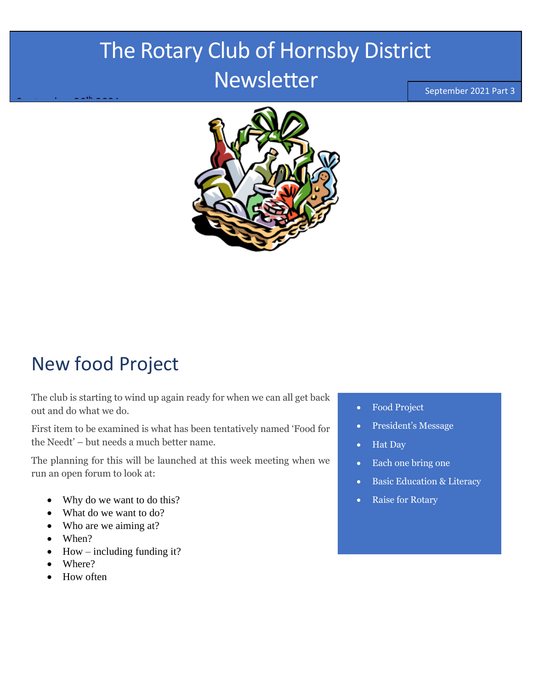## The Rotary Club of Hornsby District Newsletter

September 2021 Part 3



## New food Project

The club is starting to wind up again ready for when we can all get back out and do what we do.

First item to be examined is what has been tentatively named 'Food for the Needt' – but needs a much better name.

The planning for this will be launched at this week meeting when we run an open forum to look at:

- Why do we want to do this?
- What do we want to do?
- Who are we aiming at?
- When?

September 20th 2021

- How including funding it?
- Where?
- How often
- Food Project
- President's Message
- Hat Day
- Each one bring one
- Basic Education & Literacy
- **Raise for Rotary**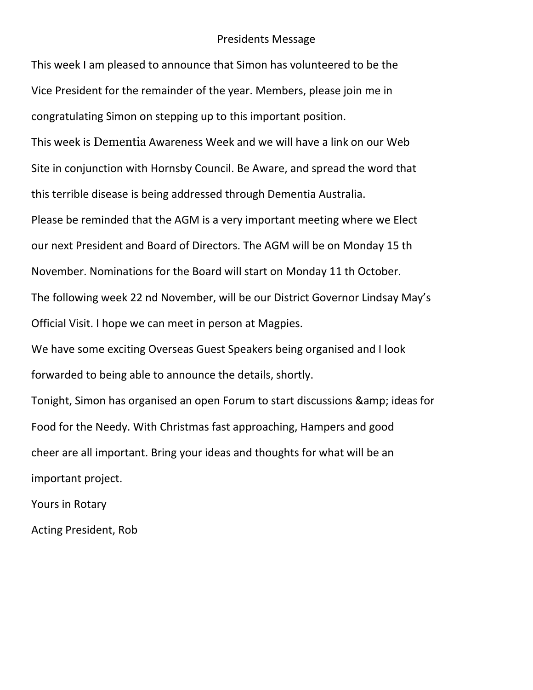#### Presidents Message

This week I am pleased to announce that Simon has volunteered to be the Vice President for the remainder of the year. Members, please join me in congratulating Simon on stepping up to this important position.

This week is Dementia Awareness Week and we will have a link on our Web Site in conjunction with Hornsby Council. Be Aware, and spread the word that this terrible disease is being addressed through Dementia Australia.

Please be reminded that the AGM is a very important meeting where we Elect our next President and Board of Directors. The AGM will be on Monday 15 th November. Nominations for the Board will start on Monday 11 th October. The following week 22 nd November, will be our District Governor Lindsay May's Official Visit. I hope we can meet in person at Magpies.

We have some exciting Overseas Guest Speakers being organised and I look forwarded to being able to announce the details, shortly.

Tonight, Simon has organised an open Forum to start discussions & amp; ideas for Food for the Needy. With Christmas fast approaching, Hampers and good cheer are all important. Bring your ideas and thoughts for what will be an important project.

Yours in Rotary

Acting President, Rob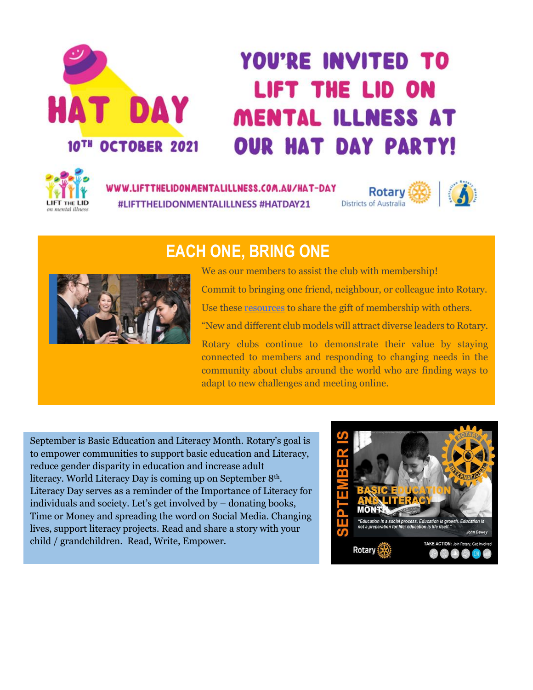# **HAT DAY** 10TH OCTOBER 2021

# **YOU'RE INVITED TO LIFT THE LID ON MENTAL ILLNESS AT OUR HAT DAY PARTY!**



WWW.LIFTTHELIDONMENTALILLNESS.COM.AU/HAT-DAY #LIFTTHELIDONMENTALILLNESS #HATDAY21



### **EACH ONE, BRING ONE**



We as our members to assist the club with membership! Commit to bringing one friend, neighbour, or colleague into Rotary.

Use thes[e resources](https://my.rotary.org/en/learning-reference/learn-topic/membership?cid=cc_AllMember2021_20210803_eml_ad_mem_na_na_) to share the gift of membership with others.

"New and different club models will attract diverse leaders to Rotary.

Rotary clubs continue to demonstrate their value by staying connected to members and responding to changing needs in the community about clubs around the world who are finding ways to adapt to new challenges and meeting online.

September is Basic Education and Literacy Month. Rotary's goal is to empower communities to support basic education and Literacy, reduce gender disparity in education and increase adult literacy. World Literacy Day is coming up on September 8<sup>th</sup>. Literacy Day serves as a reminder of the Importance of Literacy for individuals and society. Let's get involved by – donating books, Time or Money and spreading the word on Social Media. Changing lives, support literacy projects. Read and share a story with your child / grandchildren. Read, Write, Empower.